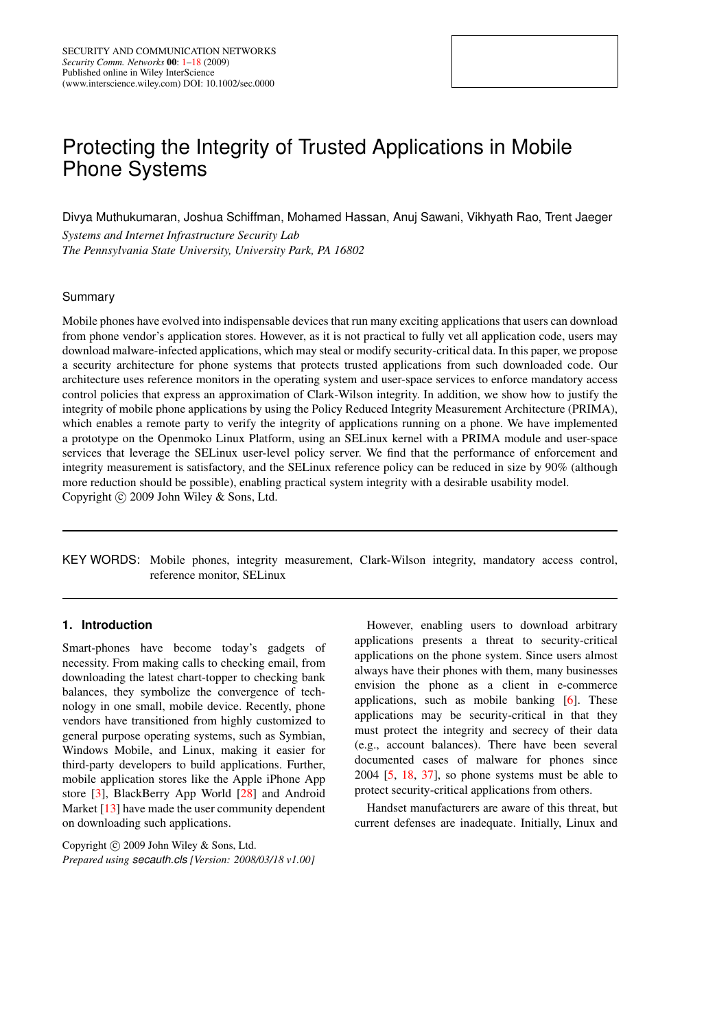# Protecting the Integrity of Trusted Applications in Mobile Phone Systems

Divya Muthukumaran, Joshua Schiffman, Mohamed Hassan, Anuj Sawani, Vikhyath Rao, Trent Jaeger

*Systems and Internet Infrastructure Security Lab The Pennsylvania State University, University Park, PA 16802*

# Summary

Mobile phones have evolved into indispensable devices that run many exciting applications that users can download from phone vendor's application stores. However, as it is not practical to fully vet all application code, users may download malware-infected applications, which may steal or modify security-critical data. In this paper, we propose a security architecture for phone systems that protects trusted applications from such downloaded code. Our architecture uses reference monitors in the operating system and user-space services to enforce mandatory access control policies that express an approximation of Clark-Wilson integrity. In addition, we show how to justify the integrity of mobile phone applications by using the Policy Reduced Integrity Measurement Architecture (PRIMA), which enables a remote party to verify the integrity of applications running on a phone. We have implemented a prototype on the Openmoko Linux Platform, using an SELinux kernel with a PRIMA module and user-space services that leverage the SELinux user-level policy server. We find that the performance of enforcement and integrity measurement is satisfactory, and the SELinux reference policy can be reduced in size by 90% (although more reduction should be possible), enabling practical system integrity with a desirable usability model. Copyright  $\odot$  2009 John Wiley & Sons, Ltd.

KEY WORDS: Mobile phones, integrity measurement, Clark-Wilson integrity, mandatory access control, reference monitor, SELinux

# **1. Introduction**

Smart-phones have become today's gadgets of necessity. From making calls to checking email, from downloading the latest chart-topper to checking bank balances, they symbolize the convergence of technology in one small, mobile device. Recently, phone vendors have transitioned from highly customized to general purpose operating systems, such as Symbian, Windows Mobile, and Linux, making it easier for third-party developers to build applications. Further, mobile application stores like the Apple iPhone App store [\[3\]](#page-17-1), BlackBerry App World [\[28\]](#page-17-2) and Android Market [\[13\]](#page-17-3) have made the user community dependent on downloading such applications.

<span id="page-0-0"></span>Copyright  $\odot$  2009 John Wiley & Sons, Ltd. *Prepared using secauth.cls [Version: 2008/03/18 v1.00]*

However, enabling users to download arbitrary applications presents a threat to security-critical applications on the phone system. Since users almost always have their phones with them, many businesses envision the phone as a client in e-commerce applications, such as mobile banking [\[6\]](#page-17-4). These applications may be security-critical in that they must protect the integrity and secrecy of their data (e.g., account balances). There have been several documented cases of malware for phones since 2004 [\[5,](#page-17-5) [18,](#page-17-6) [37\]](#page-17-7), so phone systems must be able to protect security-critical applications from others.

Handset manufacturers are aware of this threat, but current defenses are inadequate. Initially, Linux and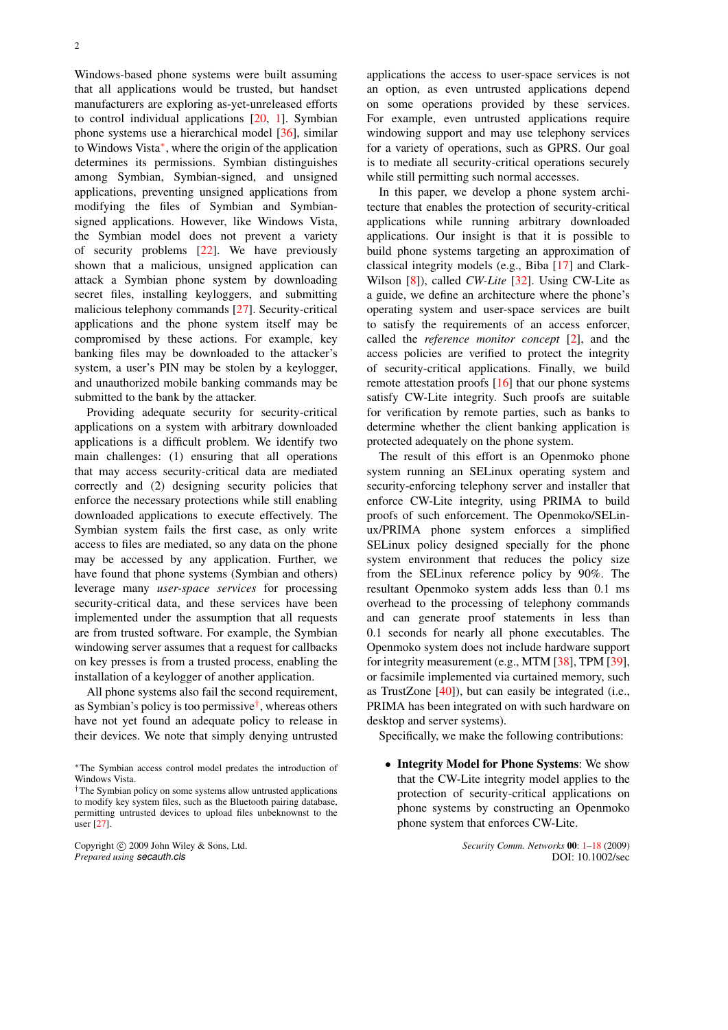Windows-based phone systems were built assuming that all applications would be trusted, but handset manufacturers are exploring as-yet-unreleased efforts to control individual applications [\[20,](#page-17-8) [1\]](#page-17-0). Symbian phone systems use a hierarchical model [\[36\]](#page-17-9), similar to Windows Vista[∗](#page-1-0), where the origin of the application determines its permissions. Symbian distinguishes among Symbian, Symbian-signed, and unsigned applications, preventing unsigned applications from modifying the files of Symbian and Symbiansigned applications. However, like Windows Vista, the Symbian model does not prevent a variety of security problems [\[22\]](#page-17-10). We have previously shown that a malicious, unsigned application can attack a Symbian phone system by downloading secret files, installing keyloggers, and submitting malicious telephony commands [\[27\]](#page-17-11). Security-critical applications and the phone system itself may be compromised by these actions. For example, key banking files may be downloaded to the attacker's system, a user's PIN may be stolen by a keylogger, and unauthorized mobile banking commands may be submitted to the bank by the attacker.

Providing adequate security for security-critical applications on a system with arbitrary downloaded applications is a difficult problem. We identify two main challenges: (1) ensuring that all operations that may access security-critical data are mediated correctly and (2) designing security policies that enforce the necessary protections while still enabling downloaded applications to execute effectively. The Symbian system fails the first case, as only write access to files are mediated, so any data on the phone may be accessed by any application. Further, we have found that phone systems (Symbian and others) leverage many *user-space services* for processing security-critical data, and these services have been implemented under the assumption that all requests are from trusted software. For example, the Symbian windowing server assumes that a request for callbacks on key presses is from a trusted process, enabling the installation of a keylogger of another application.

All phone systems also fail the second requirement, as Symbian's policy is too permissive*[†](#page-1-1)*, whereas others have not yet found an adequate policy to release in their devices. We note that simply denying untrusted applications the access to user-space services is not an option, as even untrusted applications depend on some operations provided by these services. For example, even untrusted applications require windowing support and may use telephony services for a variety of operations, such as GPRS. Our goal is to mediate all security-critical operations securely while still permitting such normal accesses.

In this paper, we develop a phone system architecture that enables the protection of security-critical applications while running arbitrary downloaded applications. Our insight is that it is possible to build phone systems targeting an approximation of classical integrity models (e.g., Biba [\[17\]](#page-17-12) and Clark-Wilson [\[8\]](#page-17-13)), called *CW-Lite* [\[32\]](#page-17-14). Using CW-Lite as a guide, we define an architecture where the phone's operating system and user-space services are built to satisfy the requirements of an access enforcer, called the *reference monitor concept* [\[2\]](#page-17-15), and the access policies are verified to protect the integrity of security-critical applications. Finally, we build remote attestation proofs  $[16]$  that our phone systems satisfy CW-Lite integrity. Such proofs are suitable for verification by remote parties, such as banks to determine whether the client banking application is protected adequately on the phone system.

The result of this effort is an Openmoko phone system running an SELinux operating system and security-enforcing telephony server and installer that enforce CW-Lite integrity, using PRIMA to build proofs of such enforcement. The Openmoko/SELinux/PRIMA phone system enforces a simplified SELinux policy designed specially for the phone system environment that reduces the policy size from the SELinux reference policy by 90%. The resultant Openmoko system adds less than 0.1 ms overhead to the processing of telephony commands and can generate proof statements in less than 0.1 seconds for nearly all phone executables. The Openmoko system does not include hardware support for integrity measurement (e.g., MTM [\[38\]](#page-17-17), TPM [\[39\]](#page-17-18), or facsimile implemented via curtained memory, such as TrustZone [\[40\]](#page-17-19)), but can easily be integrated (i.e., PRIMA has been integrated on with such hardware on desktop and server systems).

Specifically, we make the following contributions:

*•* Integrity Model for Phone Systems: We show that the CW-Lite integrity model applies to the protection of security-critical applications on phone systems by constructing an Openmoko phone system that enforces CW-Lite.

<span id="page-1-0"></span><sup>∗</sup>The Symbian access control model predates the introduction of Windows Vista.

<span id="page-1-1"></span>*<sup>†</sup>*The Symbian policy on some systems allow untrusted applications to modify key system files, such as the Bluetooth pairing database, permitting untrusted devices to upload files unbeknownst to the user [\[27\]](#page-17-11).

Copyright  $\odot$  2009 John Wiley & Sons, Ltd. *Prepared using secauth.cls*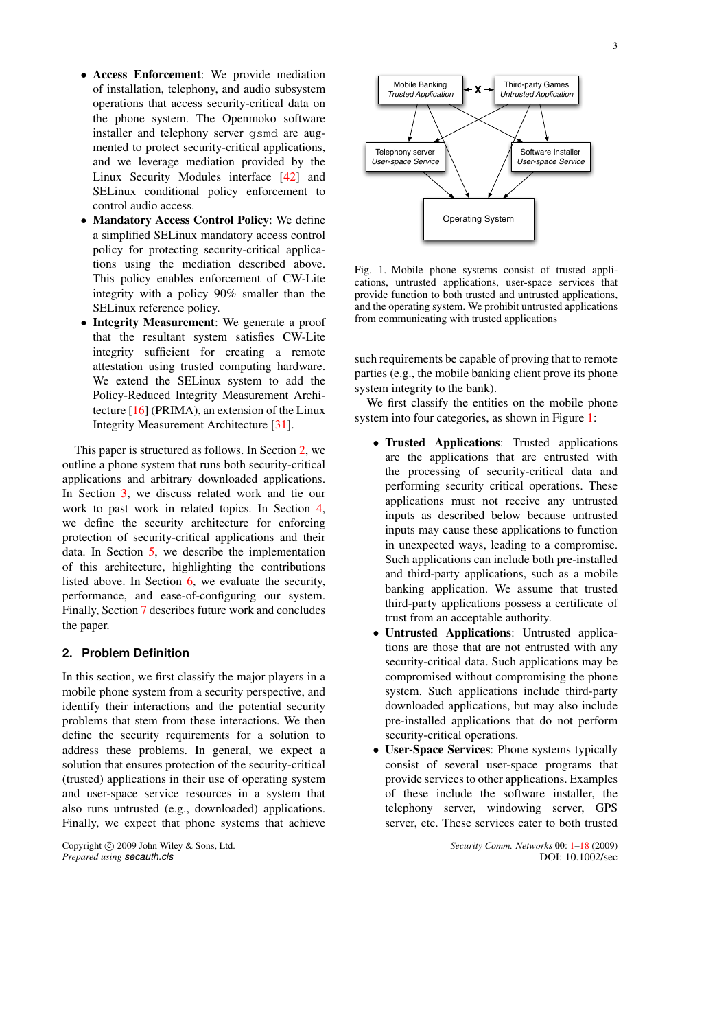- *•* Access Enforcement: We provide mediation of installation, telephony, and audio subsystem operations that access security-critical data on the phone system. The Openmoko software installer and telephony server gsmd are augmented to protect security-critical applications, and we leverage mediation provided by the Linux Security Modules interface [\[42\]](#page-17-20) and SELinux conditional policy enforcement to control audio access.
- *•* Mandatory Access Control Policy: We define a simplified SELinux mandatory access control policy for protecting security-critical applications using the mediation described above. This policy enables enforcement of CW-Lite integrity with a policy 90% smaller than the SELinux reference policy.
- *•* Integrity Measurement: We generate a proof that the resultant system satisfies CW-Lite integrity sufficient for creating a remote attestation using trusted computing hardware. We extend the SELinux system to add the Policy-Reduced Integrity Measurement Architecture [\[16\]](#page-17-16) (PRIMA), an extension of the Linux Integrity Measurement Architecture [\[31\]](#page-17-21).

This paper is structured as follows. In Section [2,](#page-2-0) we outline a phone system that runs both security-critical applications and arbitrary downloaded applications. In Section [3,](#page-3-0) we discuss related work and tie our work to past work in related topics. In Section [4,](#page-4-0) we define the security architecture for enforcing protection of security-critical applications and their data. In Section [5,](#page-7-0) we describe the implementation of this architecture, highlighting the contributions listed above. In Section [6,](#page-13-0) we evaluate the security, performance, and ease-of-configuring our system. Finally, Section [7](#page-16-0) describes future work and concludes the paper.

# <span id="page-2-0"></span>**2. Problem Definition**

In this section, we first classify the major players in a mobile phone system from a security perspective, and identify their interactions and the potential security problems that stem from these interactions. We then define the security requirements for a solution to address these problems. In general, we expect a solution that ensures protection of the security-critical (trusted) applications in their use of operating system and user-space service resources in a system that also runs untrusted (e.g., downloaded) applications. Finally, we expect that phone systems that achieve

<span id="page-2-1"></span>

Fig. 1. Mobile phone systems consist of trusted applications, untrusted applications, user-space services that provide function to both trusted and untrusted applications, and the operating system. We prohibit untrusted applications from communicating with trusted applications

such requirements be capable of proving that to remote parties (e.g., the mobile banking client prove its phone system integrity to the bank).

We first classify the entities on the mobile phone system into four categories, as shown in Figure [1:](#page-2-1)

- *•* Trusted Applications: Trusted applications are the applications that are entrusted with the processing of security-critical data and performing security critical operations. These applications must not receive any untrusted inputs as described below because untrusted inputs may cause these applications to function in unexpected ways, leading to a compromise. Such applications can include both pre-installed and third-party applications, such as a mobile banking application. We assume that trusted third-party applications possess a certificate of trust from an acceptable authority.
- *•* Untrusted Applications: Untrusted applications are those that are not entrusted with any security-critical data. Such applications may be compromised without compromising the phone system. Such applications include third-party downloaded applications, but may also include pre-installed applications that do not perform security-critical operations.
- *•* User-Space Services: Phone systems typically consist of several user-space programs that provide services to other applications. Examples of these include the software installer, the telephony server, windowing server, GPS server, etc. These services cater to both trusted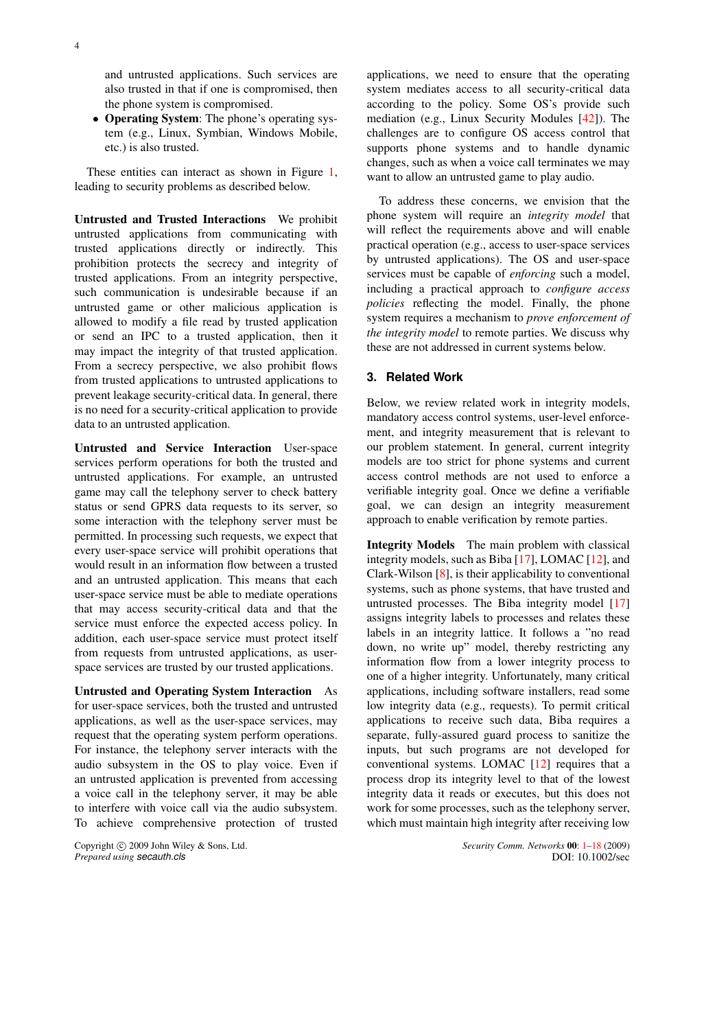and untrusted applications. Such services are also trusted in that if one is compromised, then the phone system is compromised.

• **Operating System:** The phone's operating system (e.g., Linux, Symbian, Windows Mobile, etc.) is also trusted.

These entities can interact as shown in Figure [1,](#page-2-1) leading to security problems as described below.

Untrusted and Trusted Interactions We prohibit untrusted applications from communicating with trusted applications directly or indirectly. This prohibition protects the secrecy and integrity of trusted applications. From an integrity perspective, such communication is undesirable because if an untrusted game or other malicious application is allowed to modify a file read by trusted application or send an IPC to a trusted application, then it may impact the integrity of that trusted application. From a secrecy perspective, we also prohibit flows from trusted applications to untrusted applications to prevent leakage security-critical data. In general, there is no need for a security-critical application to provide data to an untrusted application.

Untrusted and Service Interaction User-space services perform operations for both the trusted and untrusted applications. For example, an untrusted game may call the telephony server to check battery status or send GPRS data requests to its server, so some interaction with the telephony server must be permitted. In processing such requests, we expect that every user-space service will prohibit operations that would result in an information flow between a trusted and an untrusted application. This means that each user-space service must be able to mediate operations that may access security-critical data and that the service must enforce the expected access policy. In addition, each user-space service must protect itself from requests from untrusted applications, as userspace services are trusted by our trusted applications.

Untrusted and Operating System Interaction As for user-space services, both the trusted and untrusted applications, as well as the user-space services, may request that the operating system perform operations. For instance, the telephony server interacts with the audio subsystem in the OS to play voice. Even if an untrusted application is prevented from accessing a voice call in the telephony server, it may be able to interfere with voice call via the audio subsystem. To achieve comprehensive protection of trusted applications, we need to ensure that the operating system mediates access to all security-critical data according to the policy. Some OS's provide such mediation (e.g., Linux Security Modules [\[42\]](#page-17-20)). The challenges are to configure OS access control that supports phone systems and to handle dynamic changes, such as when a voice call terminates we may want to allow an untrusted game to play audio.

To address these concerns, we envision that the phone system will require an *integrity model* that will reflect the requirements above and will enable practical operation (e.g., access to user-space services by untrusted applications). The OS and user-space services must be capable of *enforcing* such a model, including a practical approach to *configure access policies* reflecting the model. Finally, the phone system requires a mechanism to *prove enforcement of the integrity model* to remote parties. We discuss why these are not addressed in current systems below.

#### <span id="page-3-0"></span>**3. Related Work**

Below, we review related work in integrity models, mandatory access control systems, user-level enforcement, and integrity measurement that is relevant to our problem statement. In general, current integrity models are too strict for phone systems and current access control methods are not used to enforce a verifiable integrity goal. Once we define a verifiable goal, we can design an integrity measurement approach to enable verification by remote parties.

Integrity Models The main problem with classical integrity models, such as Biba [\[17\]](#page-17-12), LOMAC [\[12\]](#page-17-22), and Clark-Wilson [\[8\]](#page-17-13), is their applicability to conventional systems, such as phone systems, that have trusted and untrusted processes. The Biba integrity model [\[17\]](#page-17-12) assigns integrity labels to processes and relates these labels in an integrity lattice. It follows a "no read down, no write up" model, thereby restricting any information flow from a lower integrity process to one of a higher integrity. Unfortunately, many critical applications, including software installers, read some low integrity data (e.g., requests). To permit critical applications to receive such data, Biba requires a separate, fully-assured guard process to sanitize the inputs, but such programs are not developed for conventional systems. LOMAC [\[12\]](#page-17-22) requires that a process drop its integrity level to that of the lowest integrity data it reads or executes, but this does not work for some processes, such as the telephony server, which must maintain high integrity after receiving low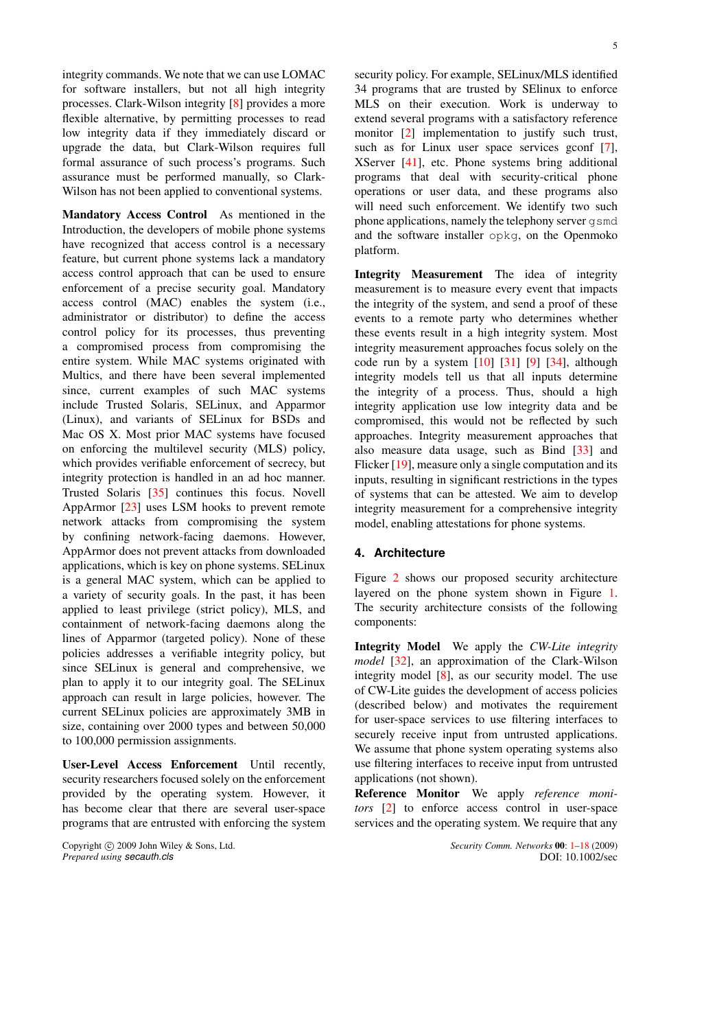integrity commands. We note that we can use LOMAC for software installers, but not all high integrity processes. Clark-Wilson integrity [\[8\]](#page-17-13) provides a more flexible alternative, by permitting processes to read low integrity data if they immediately discard or upgrade the data, but Clark-Wilson requires full formal assurance of such process's programs. Such assurance must be performed manually, so Clark-Wilson has not been applied to conventional systems.

Mandatory Access Control As mentioned in the Introduction, the developers of mobile phone systems have recognized that access control is a necessary feature, but current phone systems lack a mandatory access control approach that can be used to ensure enforcement of a precise security goal. Mandatory access control (MAC) enables the system (i.e., administrator or distributor) to define the access control policy for its processes, thus preventing a compromised process from compromising the entire system. While MAC systems originated with Multics, and there have been several implemented since, current examples of such MAC systems include Trusted Solaris, SELinux, and Apparmor (Linux), and variants of SELinux for BSDs and Mac OS X. Most prior MAC systems have focused on enforcing the multilevel security (MLS) policy, which provides verifiable enforcement of secrecy, but integrity protection is handled in an ad hoc manner. Trusted Solaris [\[35\]](#page-17-23) continues this focus. Novell AppArmor [\[23\]](#page-17-24) uses LSM hooks to prevent remote network attacks from compromising the system by confining network-facing daemons. However, AppArmor does not prevent attacks from downloaded applications, which is key on phone systems. SELinux is a general MAC system, which can be applied to a variety of security goals. In the past, it has been applied to least privilege (strict policy), MLS, and containment of network-facing daemons along the lines of Apparmor (targeted policy). None of these policies addresses a verifiable integrity policy, but since SELinux is general and comprehensive, we plan to apply it to our integrity goal. The SELinux approach can result in large policies, however. The current SELinux policies are approximately 3MB in size, containing over 2000 types and between 50,000 to 100,000 permission assignments.

User-Level Access Enforcement Until recently, security researchers focused solely on the enforcement provided by the operating system. However, it has become clear that there are several user-space programs that are entrusted with enforcing the system security policy. For example, SELinux/MLS identified 34 programs that are trusted by SElinux to enforce MLS on their execution. Work is underway to extend several programs with a satisfactory reference monitor [\[2\]](#page-17-15) implementation to justify such trust, such as for Linux user space services gconf [\[7\]](#page-17-25). XServer [\[41\]](#page-17-26), etc. Phone systems bring additional programs that deal with security-critical phone operations or user data, and these programs also will need such enforcement. We identify two such phone applications, namely the telephony server gsmd and the software installer opkg, on the Openmoko platform.

Integrity Measurement The idea of integrity measurement is to measure every event that impacts the integrity of the system, and send a proof of these events to a remote party who determines whether these events result in a high integrity system. Most integrity measurement approaches focus solely on the code run by a system  $[10]$   $[31]$   $[9]$   $[34]$ , although integrity models tell us that all inputs determine the integrity of a process. Thus, should a high integrity application use low integrity data and be compromised, this would not be reflected by such approaches. Integrity measurement approaches that also measure data usage, such as Bind [\[33\]](#page-17-30) and Flicker [\[19\]](#page-17-31), measure only a single computation and its inputs, resulting in significant restrictions in the types of systems that can be attested. We aim to develop integrity measurement for a comprehensive integrity model, enabling attestations for phone systems.

# <span id="page-4-0"></span>**4. Architecture**

Figure [2](#page-5-0) shows our proposed security architecture layered on the phone system shown in Figure [1.](#page-2-1) The security architecture consists of the following components:

Integrity Model We apply the *CW-Lite integrity model* [\[32\]](#page-17-14), an approximation of the Clark-Wilson integrity model [\[8\]](#page-17-13), as our security model. The use of CW-Lite guides the development of access policies (described below) and motivates the requirement for user-space services to use filtering interfaces to securely receive input from untrusted applications. We assume that phone system operating systems also use filtering interfaces to receive input from untrusted applications (not shown).

Reference Monitor We apply *reference monitors* [\[2\]](#page-17-15) to enforce access control in user-space services and the operating system. We require that any

Copyright  $\odot$  2009 John Wiley & Sons, Ltd. *Prepared using secauth.cls*

*Security Comm. Networks* 00: [1](#page-0-0)[–18](#page-17-0) (2009) DOI: 10.1002/sec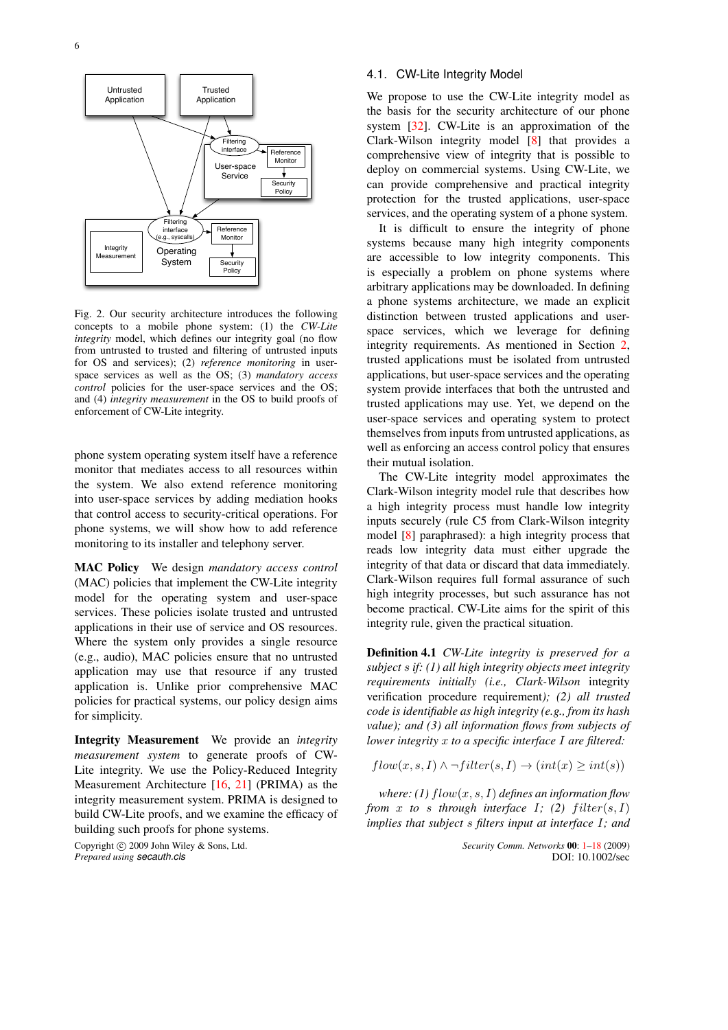<span id="page-5-0"></span>

Fig. 2. Our security architecture introduces the following concepts to a mobile phone system: (1) the *CW-Lite integrity* model, which defines our integrity goal (no flow from untrusted to trusted and filtering of untrusted inputs for OS and services); (2) *reference monitoring* in userspace services as well as the OS; (3) *mandatory access control* policies for the user-space services and the OS; and (4) *integrity measurement* in the OS to build proofs of enforcement of CW-Lite integrity.

phone system operating system itself have a reference monitor that mediates access to all resources within the system. We also extend reference monitoring into user-space services by adding mediation hooks that control access to security-critical operations. For phone systems, we will show how to add reference monitoring to its installer and telephony server.

MAC Policy We design *mandatory access control* (MAC) policies that implement the CW-Lite integrity model for the operating system and user-space services. These policies isolate trusted and untrusted applications in their use of service and OS resources. Where the system only provides a single resource (e.g., audio), MAC policies ensure that no untrusted application may use that resource if any trusted application is. Unlike prior comprehensive MAC policies for practical systems, our policy design aims for simplicity.

Integrity Measurement We provide an *integrity measurement system* to generate proofs of CW-Lite integrity. We use the Policy-Reduced Integrity Measurement Architecture [\[16,](#page-17-16) [21\]](#page-17-32) (PRIMA) as the integrity measurement system. PRIMA is designed to build CW-Lite proofs, and we examine the efficacy of building such proofs for phone systems.

#### 4.1. CW-Lite Integrity Model

We propose to use the CW-Lite integrity model as the basis for the security architecture of our phone system [\[32\]](#page-17-14). CW-Lite is an approximation of the Clark-Wilson integrity model [\[8\]](#page-17-13) that provides a comprehensive view of integrity that is possible to deploy on commercial systems. Using CW-Lite, we can provide comprehensive and practical integrity protection for the trusted applications, user-space services, and the operating system of a phone system.

It is difficult to ensure the integrity of phone systems because many high integrity components are accessible to low integrity components. This is especially a problem on phone systems where arbitrary applications may be downloaded. In defining a phone systems architecture, we made an explicit distinction between trusted applications and userspace services, which we leverage for defining integrity requirements. As mentioned in Section [2,](#page-2-0) trusted applications must be isolated from untrusted applications, but user-space services and the operating system provide interfaces that both the untrusted and trusted applications may use. Yet, we depend on the user-space services and operating system to protect themselves from inputs from untrusted applications, as well as enforcing an access control policy that ensures their mutual isolation.

The CW-Lite integrity model approximates the Clark-Wilson integrity model rule that describes how a high integrity process must handle low integrity inputs securely (rule C5 from Clark-Wilson integrity model [\[8\]](#page-17-13) paraphrased): a high integrity process that reads low integrity data must either upgrade the integrity of that data or discard that data immediately. Clark-Wilson requires full formal assurance of such high integrity processes, but such assurance has not become practical. CW-Lite aims for the spirit of this integrity rule, given the practical situation.

Definition 4.1 *CW-Lite integrity is preserved for a subject s if: (1) all high integrity objects meet integrity requirements initially (i.e., Clark-Wilson* integrity verification procedure requirement*); (2) all trusted code is identifiable as high integrity (e.g., from its hash value); and (3) all information flows from subjects of lower integrity x to a specific interface I are filtered:*

$$
flow(x, s, I) \land \neg filter(s, I) \rightarrow (int(x) \geq int(s))
$$

*where: (1) flow*(*x, s, I*) *defines an information flow from x to s through interface I*; (2)  $filter(s, I)$ *implies that subject s filters input at interface I; and*

Copyright  $\odot$  2009 John Wiley & Sons, Ltd. *Prepared using secauth.cls*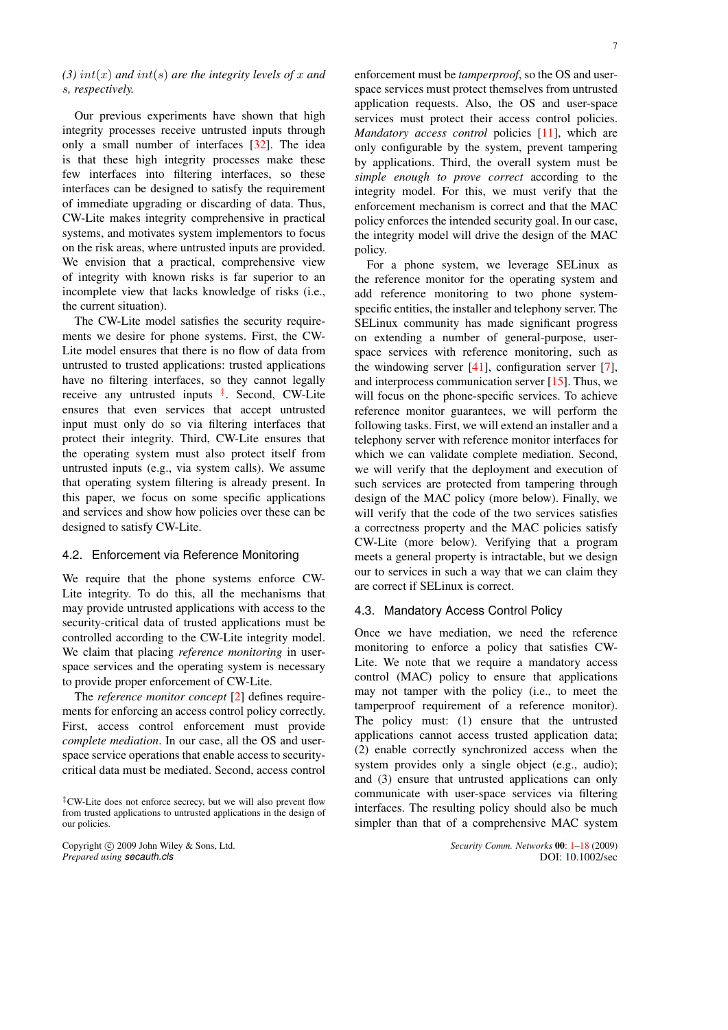# *(3)*  $int(x)$  *and*  $int(s)$  *are the integrity levels of x and s, respectively.*

Our previous experiments have shown that high integrity processes receive untrusted inputs through only a small number of interfaces [\[32\]](#page-17-14). The idea is that these high integrity processes make these few interfaces into filtering interfaces, so these interfaces can be designed to satisfy the requirement of immediate upgrading or discarding of data. Thus, CW-Lite makes integrity comprehensive in practical systems, and motivates system implementors to focus on the risk areas, where untrusted inputs are provided. We envision that a practical, comprehensive view of integrity with known risks is far superior to an incomplete view that lacks knowledge of risks (i.e., the current situation).

The CW-Lite model satisfies the security requirements we desire for phone systems. First, the CW-Lite model ensures that there is no flow of data from untrusted to trusted applications: trusted applications have no filtering interfaces, so they cannot legally receive any untrusted inputs *[‡](#page-6-0)*. Second, CW-Lite ensures that even services that accept untrusted input must only do so via filtering interfaces that protect their integrity. Third, CW-Lite ensures that the operating system must also protect itself from untrusted inputs (e.g., via system calls). We assume that operating system filtering is already present. In this paper, we focus on some specific applications and services and show how policies over these can be designed to satisfy CW-Lite.

#### 4.2. Enforcement via Reference Monitoring

We require that the phone systems enforce CW-Lite integrity. To do this, all the mechanisms that may provide untrusted applications with access to the security-critical data of trusted applications must be controlled according to the CW-Lite integrity model. We claim that placing *reference monitoring* in userspace services and the operating system is necessary to provide proper enforcement of CW-Lite.

The *reference monitor concept* [\[2\]](#page-17-15) defines requirements for enforcing an access control policy correctly. First, access control enforcement must provide *complete mediation*. In our case, all the OS and userspace service operations that enable access to securitycritical data must be mediated. Second, access control enforcement must be *tamperproof*, so the OS and userspace services must protect themselves from untrusted application requests. Also, the OS and user-space services must protect their access control policies. *Mandatory access control* policies [\[11\]](#page-17-33), which are only configurable by the system, prevent tampering by applications. Third, the overall system must be *simple enough to prove correct* according to the integrity model. For this, we must verify that the enforcement mechanism is correct and that the MAC policy enforces the intended security goal. In our case, the integrity model will drive the design of the MAC policy.

For a phone system, we leverage SELinux as the reference monitor for the operating system and add reference monitoring to two phone systemspecific entities, the installer and telephony server. The SELinux community has made significant progress on extending a number of general-purpose, userspace services with reference monitoring, such as the windowing server [\[41\]](#page-17-26), configuration server [\[7\]](#page-17-25), and interprocess communication server [\[15\]](#page-17-34). Thus, we will focus on the phone-specific services. To achieve reference monitor guarantees, we will perform the following tasks. First, we will extend an installer and a telephony server with reference monitor interfaces for which we can validate complete mediation. Second, we will verify that the deployment and execution of such services are protected from tampering through design of the MAC policy (more below). Finally, we will verify that the code of the two services satisfies a correctness property and the MAC policies satisfy CW-Lite (more below). Verifying that a program meets a general property is intractable, but we design our to services in such a way that we can claim they are correct if SELinux is correct.

## 4.3. Mandatory Access Control Policy

Once we have mediation, we need the reference monitoring to enforce a policy that satisfies CW-Lite. We note that we require a mandatory access control (MAC) policy to ensure that applications may not tamper with the policy (i.e., to meet the tamperproof requirement of a reference monitor). The policy must: (1) ensure that the untrusted applications cannot access trusted application data; (2) enable correctly synchronized access when the system provides only a single object (e.g., audio); and (3) ensure that untrusted applications can only communicate with user-space services via filtering interfaces. The resulting policy should also be much simpler than that of a comprehensive MAC system

<span id="page-6-0"></span>*<sup>‡</sup>*CW-Lite does not enforce secrecy, but we will also prevent flow from trusted applications to untrusted applications in the design of our policies.

Copyright  $\odot$  2009 John Wiley & Sons, Ltd. *Prepared using secauth.cls*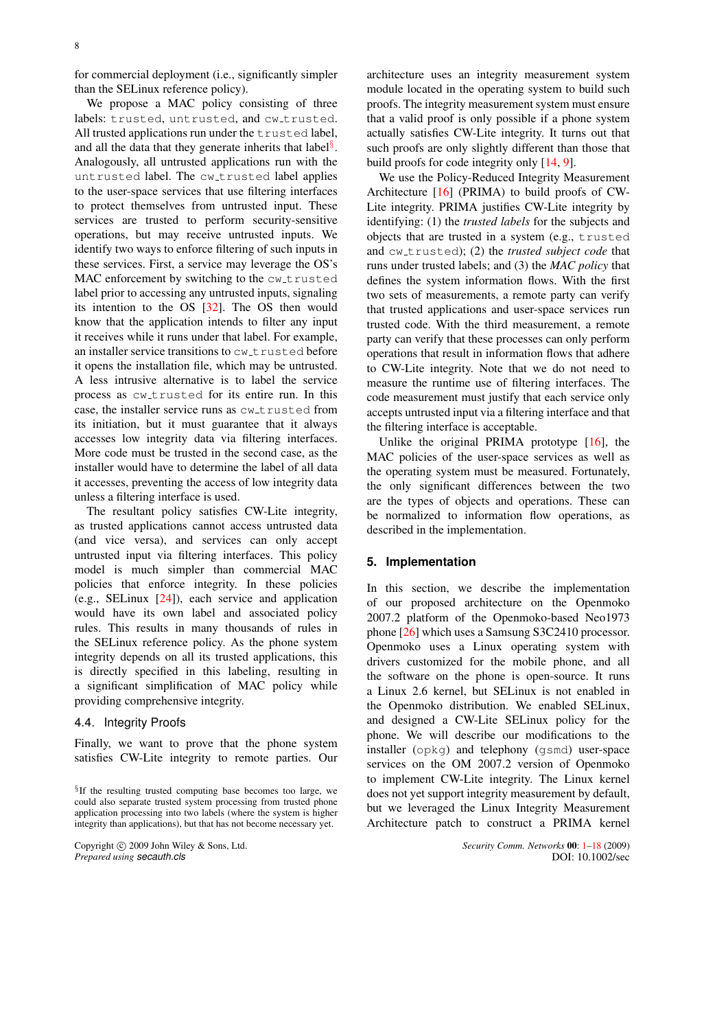for commercial deployment (i.e., significantly simpler than the SELinux reference policy).

We propose a MAC policy consisting of three labels: trusted, untrusted, and cw\_trusted. All trusted applications run under the trusted label, and all the data that they generate inherits that label*[§](#page-7-1)*. Analogously, all untrusted applications run with the untrusted label. The cw\_trusted label applies to the user-space services that use filtering interfaces to protect themselves from untrusted input. These services are trusted to perform security-sensitive operations, but may receive untrusted inputs. We identify two ways to enforce filtering of such inputs in these services. First, a service may leverage the OS's MAC enforcement by switching to the cw\_trusted label prior to accessing any untrusted inputs, signaling its intention to the OS [\[32\]](#page-17-14). The OS then would know that the application intends to filter any input it receives while it runs under that label. For example, an installer service transitions to cw\_trusted before it opens the installation file, which may be untrusted. A less intrusive alternative is to label the service process as cw\_trusted for its entire run. In this case, the installer service runs as cw\_trusted from its initiation, but it must guarantee that it always accesses low integrity data via filtering interfaces. More code must be trusted in the second case, as the installer would have to determine the label of all data it accesses, preventing the access of low integrity data unless a filtering interface is used.

The resultant policy satisfies CW-Lite integrity, as trusted applications cannot access untrusted data (and vice versa), and services can only accept untrusted input via filtering interfaces. This policy model is much simpler than commercial MAC policies that enforce integrity. In these policies (e.g., SELinux [\[24\]](#page-17-35)), each service and application would have its own label and associated policy rules. This results in many thousands of rules in the SELinux reference policy. As the phone system integrity depends on all its trusted applications, this is directly specified in this labeling, resulting in a significant simplification of MAC policy while providing comprehensive integrity.

## <span id="page-7-2"></span>4.4. Integrity Proofs

Finally, we want to prove that the phone system satisfies CW-Lite integrity to remote parties. Our architecture uses an integrity measurement system module located in the operating system to build such proofs. The integrity measurement system must ensure that a valid proof is only possible if a phone system actually satisfies CW-Lite integrity. It turns out that such proofs are only slightly different than those that build proofs for code integrity only [\[14,](#page-17-36) [9\]](#page-17-28).

We use the Policy-Reduced Integrity Measurement Architecture [\[16\]](#page-17-16) (PRIMA) to build proofs of CW-Lite integrity. PRIMA justifies CW-Lite integrity by identifying: (1) the *trusted labels* for the subjects and objects that are trusted in a system (e.g., trusted and cw trusted); (2) the *trusted subject code* that runs under trusted labels; and (3) the *MAC policy* that defines the system information flows. With the first two sets of measurements, a remote party can verify that trusted applications and user-space services run trusted code. With the third measurement, a remote party can verify that these processes can only perform operations that result in information flows that adhere to CW-Lite integrity. Note that we do not need to measure the runtime use of filtering interfaces. The code measurement must justify that each service only accepts untrusted input via a filtering interface and that the filtering interface is acceptable.

Unlike the original PRIMA prototype [\[16\]](#page-17-16), the MAC policies of the user-space services as well as the operating system must be measured. Fortunately, the only significant differences between the two are the types of objects and operations. These can be normalized to information flow operations, as described in the implementation.

## <span id="page-7-0"></span>**5. Implementation**

In this section, we describe the implementation of our proposed architecture on the Openmoko 2007.2 platform of the Openmoko-based Neo1973 phone [\[26\]](#page-17-37) which uses a Samsung S3C2410 processor. Openmoko uses a Linux operating system with drivers customized for the mobile phone, and all the software on the phone is open-source. It runs a Linux 2.6 kernel, but SELinux is not enabled in the Openmoko distribution. We enabled SELinux, and designed a CW-Lite SELinux policy for the phone. We will describe our modifications to the installer (opkg) and telephony (gsmd) user-space services on the OM 2007.2 version of Openmoko to implement CW-Lite integrity. The Linux kernel does not yet support integrity measurement by default, but we leveraged the Linux Integrity Measurement Architecture patch to construct a PRIMA kernel

<span id="page-7-1"></span>*<sup>§</sup>*If the resulting trusted computing base becomes too large, we could also separate trusted system processing from trusted phone application processing into two labels (where the system is higher integrity than applications), but that has not become necessary yet.

Copyright  $\odot$  2009 John Wiley & Sons, Ltd. *Prepared using secauth.cls*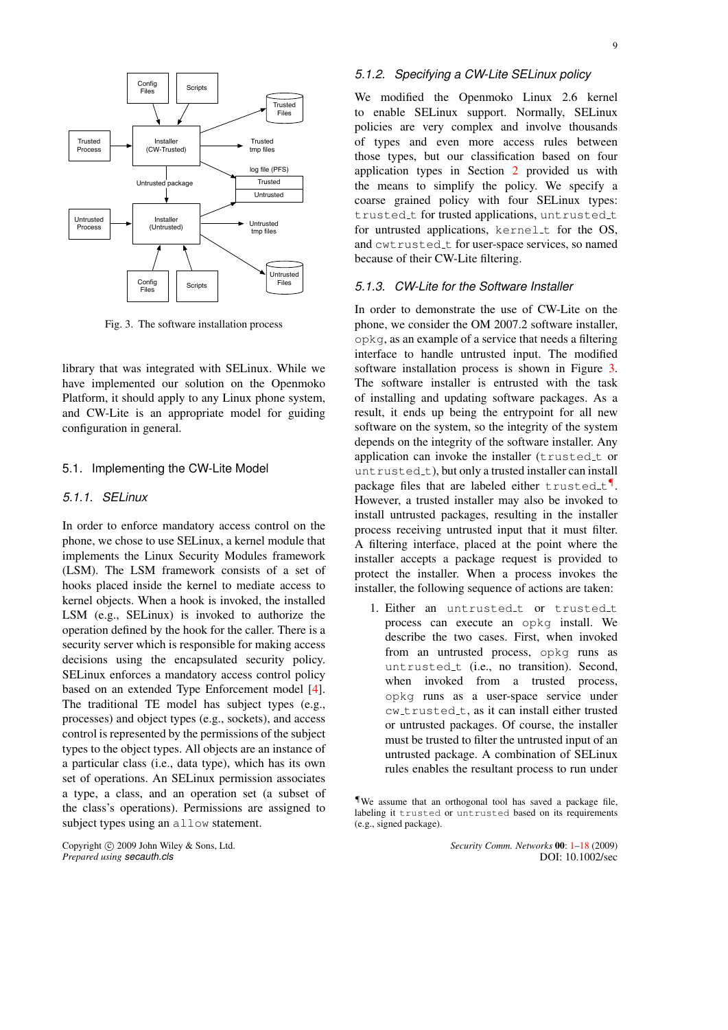<span id="page-8-0"></span>

Fig. 3. The software installation process

library that was integrated with SELinux. While we have implemented our solution on the Openmoko Platform, it should apply to any Linux phone system, and CW-Lite is an appropriate model for guiding configuration in general.

## 5.1. Implementing the CW-Lite Model

#### *5.1.1. SELinux*

In order to enforce mandatory access control on the phone, we chose to use SELinux, a kernel module that implements the Linux Security Modules framework (LSM). The LSM framework consists of a set of hooks placed inside the kernel to mediate access to kernel objects. When a hook is invoked, the installed LSM (e.g., SELinux) is invoked to authorize the operation defined by the hook for the caller. There is a security server which is responsible for making access decisions using the encapsulated security policy. SELinux enforces a mandatory access control policy based on an extended Type Enforcement model [\[4\]](#page-17-38). The traditional TE model has subject types (e.g., processes) and object types (e.g., sockets), and access control is represented by the permissions of the subject types to the object types. All objects are an instance of a particular class (i.e., data type), which has its own set of operations. An SELinux permission associates a type, a class, and an operation set (a subset of the class's operations). Permissions are assigned to subject types using an allow statement.

## *5.1.2. Specifying a CW-Lite SELinux policy*

We modified the Openmoko Linux 2.6 kernel to enable SELinux support. Normally, SELinux policies are very complex and involve thousands of types and even more access rules between those types, but our classification based on four application types in Section [2](#page-2-0) provided us with the means to simplify the policy. We specify a coarse grained policy with four SELinux types: trusted t for trusted applications, untrusted t for untrusted applications, kernel\_t for the OS, and cwtrusted t for user-space services, so named because of their CW-Lite filtering.

## *5.1.3. CW-Lite for the Software Installer*

In order to demonstrate the use of CW-Lite on the phone, we consider the OM 2007.2 software installer, opkg, as an example of a service that needs a filtering interface to handle untrusted input. The modified software installation process is shown in Figure [3.](#page-8-0) The software installer is entrusted with the task of installing and updating software packages. As a result, it ends up being the entrypoint for all new software on the system, so the integrity of the system depends on the integrity of the software installer. Any application can invoke the installer (trusted t or untrusted\_t), but only a trusted installer can install package files that are labeled either  $true$ However, a trusted installer may also be invoked to install untrusted packages, resulting in the installer process receiving untrusted input that it must filter. A filtering interface, placed at the point where the installer accepts a package request is provided to protect the installer. When a process invokes the installer, the following sequence of actions are taken:

1. Either an untrusted\_t or trusted\_t process can execute an opkg install. We describe the two cases. First, when invoked from an untrusted process, opkg runs as untrusted t (i.e., no transition). Second, when invoked from a trusted process, opkg runs as a user-space service under cw\_trusted\_t, as it can install either trusted or untrusted packages. Of course, the installer must be trusted to filter the untrusted input of an untrusted package. A combination of SELinux rules enables the resultant process to run under

<span id="page-8-1"></span>*¶*We assume that an orthogonal tool has saved a package file, labeling it trusted or untrusted based on its requirements (e.g., signed package).

Copyright  $\odot$  2009 John Wiley & Sons, Ltd. *Prepared using secauth.cls*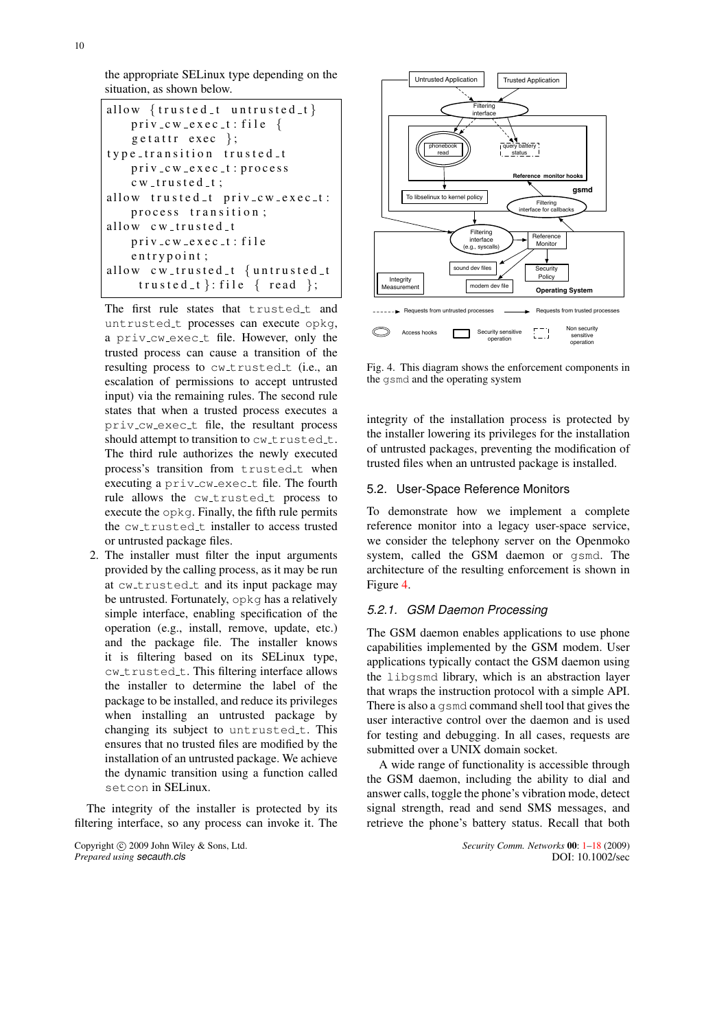the appropriate SELinux type depending on the situation, as shown below.

```
allow {trusted_t untrusted_t}
   priv_c w_e xec_t: file \{getattr exec };
type_transition trusted_t
   priv_c w R R c t : process
   cw_trusted_t:
allow trusted_t priv_cw_exec_t:
    process transition ;
allow cw_trusted_t
   priv _ c w _ e x e c _ t : file
    entrypoint ;
allow cw_trusted_t {untrusted_t
     trusted t } : file { read } ;
```
The first rule states that trusted t and untrusted t processes can execute opkg, a priv\_cw\_exec\_t file. However, only the trusted process can cause a transition of the resulting process to cw\_trusted\_t (i.e., an escalation of permissions to accept untrusted input) via the remaining rules. The second rule states that when a trusted process executes a priv cw exec t file, the resultant process should attempt to transition to cw\_trusted\_t. The third rule authorizes the newly executed process's transition from trusted\_t when executing a priv\_cw\_exec\_t file. The fourth rule allows the cw\_trusted\_t process to execute the opkg. Finally, the fifth rule permits the cw\_trusted\_t installer to access trusted or untrusted package files.

2. The installer must filter the input arguments provided by the calling process, as it may be run at cw\_trusted\_t and its input package may be untrusted. Fortunately, opkg has a relatively simple interface, enabling specification of the operation (e.g., install, remove, update, etc.) and the package file. The installer knows it is filtering based on its SELinux type, cw\_trusted\_t. This filtering interface allows the installer to determine the label of the package to be installed, and reduce its privileges when installing an untrusted package by changing its subject to untrusted\_t. This ensures that no trusted files are modified by the installation of an untrusted package. We achieve the dynamic transition using a function called setcon in SELinux.

The integrity of the installer is protected by its filtering interface, so any process can invoke it. The

<span id="page-9-0"></span>

Fig. 4. This diagram shows the enforcement components in the gsmd and the operating system

integrity of the installation process is protected by the installer lowering its privileges for the installation of untrusted packages, preventing the modification of trusted files when an untrusted package is installed.

## 5.2. User-Space Reference Monitors

To demonstrate how we implement a complete reference monitor into a legacy user-space service, we consider the telephony server on the Openmoko system, called the GSM daemon or gsmd. The architecture of the resulting enforcement is shown in Figure [4.](#page-9-0)

#### *5.2.1. GSM Daemon Processing*

The GSM daemon enables applications to use phone capabilities implemented by the GSM modem. User applications typically contact the GSM daemon using the libgsmd library, which is an abstraction layer that wraps the instruction protocol with a simple API. There is also a gsmd command shell tool that gives the user interactive control over the daemon and is used for testing and debugging. In all cases, requests are submitted over a UNIX domain socket.

A wide range of functionality is accessible through the GSM daemon, including the ability to dial and answer calls, toggle the phone's vibration mode, detect signal strength, read and send SMS messages, and retrieve the phone's battery status. Recall that both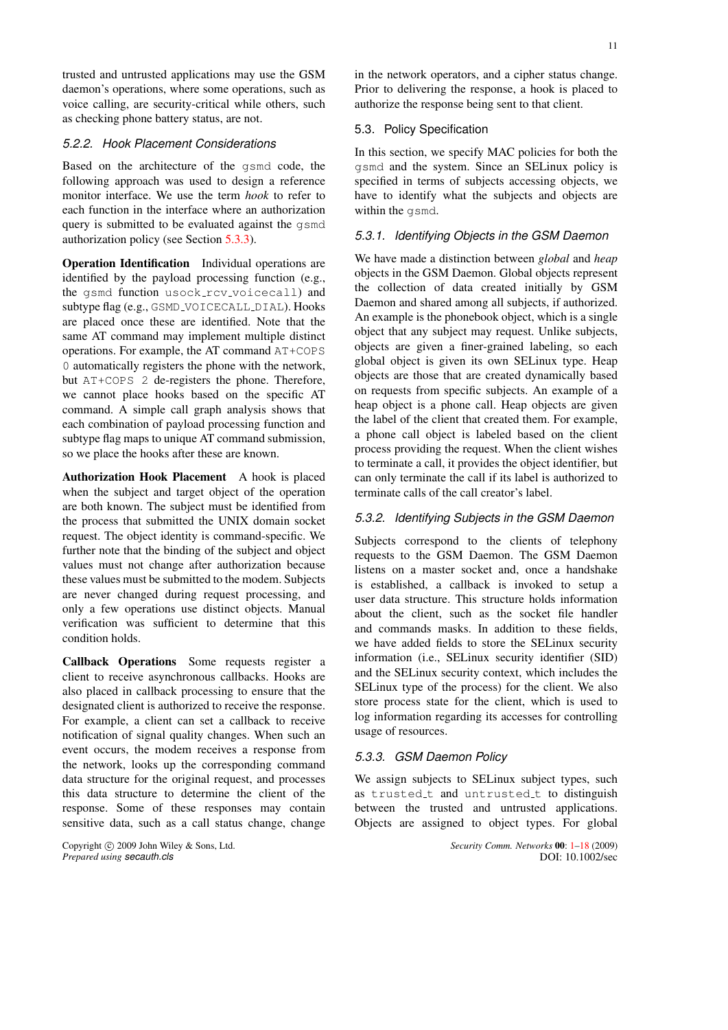trusted and untrusted applications may use the GSM daemon's operations, where some operations, such as voice calling, are security-critical while others, such as checking phone battery status, are not.

## *5.2.2. Hook Placement Considerations*

Based on the architecture of the gsmd code, the following approach was used to design a reference monitor interface. We use the term *hook* to refer to each function in the interface where an authorization query is submitted to be evaluated against the gsmd authorization policy (see Section [5.3.3\)](#page-10-0).

**Operation Identification** Individual operations are identified by the payload processing function (e.g., the gsmd function usock\_rcv\_voicecall) and subtype flag (e.g., GSMD\_VOICECALL\_DIAL). Hooks are placed once these are identified. Note that the same AT command may implement multiple distinct operations. For example, the AT command AT+COPS 0 automatically registers the phone with the network, but AT+COPS 2 de-registers the phone. Therefore, we cannot place hooks based on the specific AT command. A simple call graph analysis shows that each combination of payload processing function and subtype flag maps to unique AT command submission, so we place the hooks after these are known.

Authorization Hook Placement A hook is placed when the subject and target object of the operation are both known. The subject must be identified from the process that submitted the UNIX domain socket request. The object identity is command-specific. We further note that the binding of the subject and object values must not change after authorization because these values must be submitted to the modem. Subjects are never changed during request processing, and only a few operations use distinct objects. Manual verification was sufficient to determine that this condition holds.

Callback Operations Some requests register a client to receive asynchronous callbacks. Hooks are also placed in callback processing to ensure that the designated client is authorized to receive the response. For example, a client can set a callback to receive notification of signal quality changes. When such an event occurs, the modem receives a response from the network, looks up the corresponding command data structure for the original request, and processes this data structure to determine the client of the response. Some of these responses may contain sensitive data, such as a call status change, change in the network operators, and a cipher status change. Prior to delivering the response, a hook is placed to authorize the response being sent to that client.

## 5.3. Policy Specification

In this section, we specify MAC policies for both the gsmd and the system. Since an SELinux policy is specified in terms of subjects accessing objects, we have to identify what the subjects and objects are within the **g**smd.

#### *5.3.1. Identifying Objects in the GSM Daemon*

We have made a distinction between *global* and *heap* objects in the GSM Daemon. Global objects represent the collection of data created initially by GSM Daemon and shared among all subjects, if authorized. An example is the phonebook object, which is a single object that any subject may request. Unlike subjects, objects are given a finer-grained labeling, so each global object is given its own SELinux type. Heap objects are those that are created dynamically based on requests from specific subjects. An example of a heap object is a phone call. Heap objects are given the label of the client that created them. For example, a phone call object is labeled based on the client process providing the request. When the client wishes to terminate a call, it provides the object identifier, but can only terminate the call if its label is authorized to terminate calls of the call creator's label.

#### *5.3.2. Identifying Subjects in the GSM Daemon*

Subjects correspond to the clients of telephony requests to the GSM Daemon. The GSM Daemon listens on a master socket and, once a handshake is established, a callback is invoked to setup a user data structure. This structure holds information about the client, such as the socket file handler and commands masks. In addition to these fields, we have added fields to store the SELinux security information (i.e., SELinux security identifier (SID) and the SELinux security context, which includes the SELinux type of the process) for the client. We also store process state for the client, which is used to log information regarding its accesses for controlling usage of resources.

# <span id="page-10-0"></span>*5.3.3. GSM Daemon Policy*

We assign subjects to SELinux subject types, such as trusted t and untrusted t to distinguish between the trusted and untrusted applications. Objects are assigned to object types. For global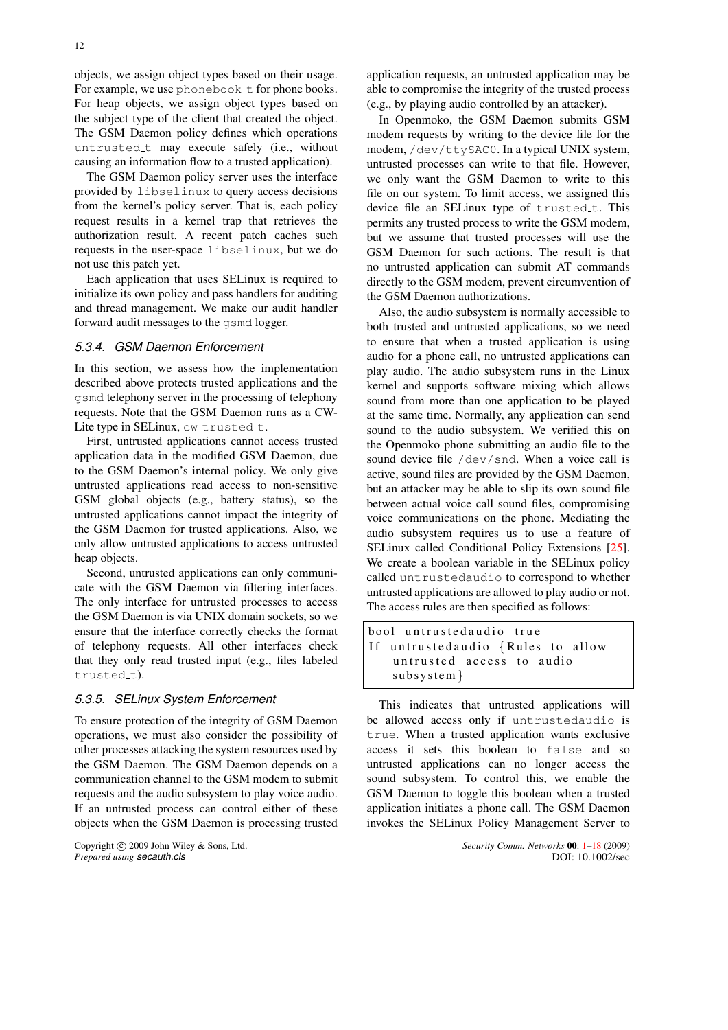objects, we assign object types based on their usage. For example, we use phonebook t for phone books. For heap objects, we assign object types based on the subject type of the client that created the object. The GSM Daemon policy defines which operations untrusted t may execute safely (i.e., without causing an information flow to a trusted application).

The GSM Daemon policy server uses the interface provided by libselinux to query access decisions from the kernel's policy server. That is, each policy request results in a kernel trap that retrieves the authorization result. A recent patch caches such requests in the user-space libselinux, but we do not use this patch yet.

Each application that uses SELinux is required to initialize its own policy and pass handlers for auditing and thread management. We make our audit handler forward audit messages to the gsmd logger.

#### *5.3.4. GSM Daemon Enforcement*

In this section, we assess how the implementation described above protects trusted applications and the gsmd telephony server in the processing of telephony requests. Note that the GSM Daemon runs as a CW-Lite type in SELinux, cw\_trusted\_t.

First, untrusted applications cannot access trusted application data in the modified GSM Daemon, due to the GSM Daemon's internal policy. We only give untrusted applications read access to non-sensitive GSM global objects (e.g., battery status), so the untrusted applications cannot impact the integrity of the GSM Daemon for trusted applications. Also, we only allow untrusted applications to access untrusted heap objects.

Second, untrusted applications can only communicate with the GSM Daemon via filtering interfaces. The only interface for untrusted processes to access the GSM Daemon is via UNIX domain sockets, so we ensure that the interface correctly checks the format of telephony requests. All other interfaces check that they only read trusted input (e.g., files labeled trusted\_t).

#### *5.3.5. SELinux System Enforcement*

To ensure protection of the integrity of GSM Daemon operations, we must also consider the possibility of other processes attacking the system resources used by the GSM Daemon. The GSM Daemon depends on a communication channel to the GSM modem to submit requests and the audio subsystem to play voice audio. If an untrusted process can control either of these objects when the GSM Daemon is processing trusted

Copyright  $\odot$  2009 John Wiley & Sons, Ltd. *Prepared using secauth.cls*

application requests, an untrusted application may be able to compromise the integrity of the trusted process (e.g., by playing audio controlled by an attacker).

In Openmoko, the GSM Daemon submits GSM modem requests by writing to the device file for the modem, /dev/ttySAC0. In a typical UNIX system, untrusted processes can write to that file. However, we only want the GSM Daemon to write to this file on our system. To limit access, we assigned this device file an SELinux type of trusted t. This permits any trusted process to write the GSM modem, but we assume that trusted processes will use the GSM Daemon for such actions. The result is that no untrusted application can submit AT commands directly to the GSM modem, prevent circumvention of the GSM Daemon authorizations.

Also, the audio subsystem is normally accessible to both trusted and untrusted applications, so we need to ensure that when a trusted application is using audio for a phone call, no untrusted applications can play audio. The audio subsystem runs in the Linux kernel and supports software mixing which allows sound from more than one application to be played at the same time. Normally, any application can send sound to the audio subsystem. We verified this on the Openmoko phone submitting an audio file to the sound device file /dev/snd. When a voice call is active, sound files are provided by the GSM Daemon, but an attacker may be able to slip its own sound file between actual voice call sound files, compromising voice communications on the phone. Mediating the audio subsystem requires us to use a feature of SELinux called Conditional Policy Extensions [\[25\]](#page-17-39). We create a boolean variable in the SELinux policy called untrustedaudio to correspond to whether untrusted applications are allowed to play audio or not. The access rules are then specified as follows:

# bool untrustedaudio true If untrustedaudio *{* Rules to allow untrusted access to audio subsystem *}*

This indicates that untrusted applications will be allowed access only if untrustedaudio is true. When a trusted application wants exclusive access it sets this boolean to false and so untrusted applications can no longer access the sound subsystem. To control this, we enable the GSM Daemon to toggle this boolean when a trusted application initiates a phone call. The GSM Daemon invokes the SELinux Policy Management Server to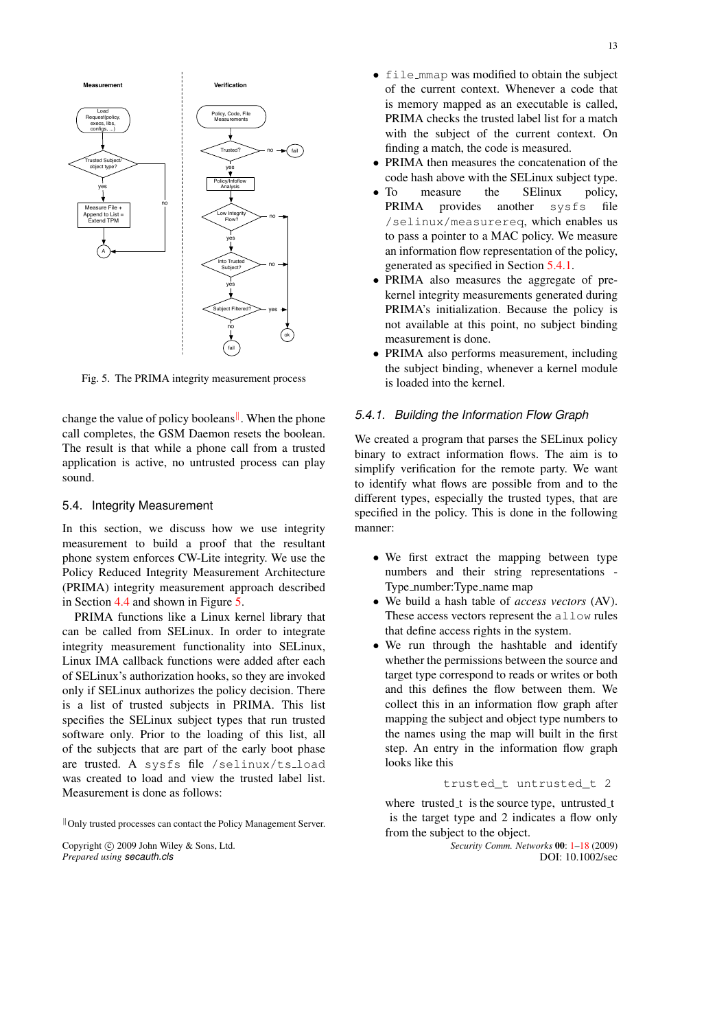<span id="page-12-1"></span>

Fig. 5. The PRIMA integrity measurement process

change the value of policy booleans $\parallel$ . When the phone call completes, the GSM Daemon resets the boolean. The result is that while a phone call from a trusted application is active, no untrusted process can play sound.

## 5.4. Integrity Measurement

In this section, we discuss how we use integrity measurement to build a proof that the resultant phone system enforces CW-Lite integrity. We use the Policy Reduced Integrity Measurement Architecture (PRIMA) integrity measurement approach described in Section [4.4](#page-7-2) and shown in Figure [5.](#page-12-1)

PRIMA functions like a Linux kernel library that can be called from SELinux. In order to integrate integrity measurement functionality into SELinux, Linux IMA callback functions were added after each of SELinux's authorization hooks, so they are invoked only if SELinux authorizes the policy decision. There is a list of trusted subjects in PRIMA. This list specifies the SELinux subject types that run trusted software only. Prior to the loading of this list, all of the subjects that are part of the early boot phase are trusted. A sysfs file /selinux/ts load was created to load and view the trusted label list. Measurement is done as follows:

- file\_mmap was modified to obtain the subject of the current context. Whenever a code that is memory mapped as an executable is called, PRIMA checks the trusted label list for a match with the subject of the current context. On finding a match, the code is measured.
- *•* PRIMA then measures the concatenation of the code hash above with the SELinux subject type.
- To measure the SElinux policy,<br>PRIMA provides another sysfs file provides /selinux/measurereq, which enables us to pass a pointer to a MAC policy. We measure an information flow representation of the policy, generated as specified in Section [5.4.1.](#page-12-2)
- *•* PRIMA also measures the aggregate of prekernel integrity measurements generated during PRIMA's initialization. Because the policy is not available at this point, no subject binding measurement is done.
- *•* PRIMA also performs measurement, including the subject binding, whenever a kernel module is loaded into the kernel.

#### <span id="page-12-2"></span>*5.4.1. Building the Information Flow Graph*

We created a program that parses the SELinux policy binary to extract information flows. The aim is to simplify verification for the remote party. We want to identify what flows are possible from and to the different types, especially the trusted types, that are specified in the policy. This is done in the following manner:

- *•* We first extract the mapping between type numbers and their string representations - Type number:Type name map
- *•* We build a hash table of *access vectors* (AV). These access vectors represent the allow rules that define access rights in the system.
- *•* We run through the hashtable and identify whether the permissions between the source and target type correspond to reads or writes or both and this defines the flow between them. We collect this in an information flow graph after mapping the subject and object type numbers to the names using the map will built in the first step. An entry in the information flow graph looks like this

trusted\_t untrusted\_t 2

where trusted  $t$  is the source type, untrusted  $t$ is the target type and 2 indicates a flow only from the subject to the object.

<span id="page-12-0"></span><sup>&</sup>quot;Only trusted processes can contact the Policy Management Server.

Copyright  $\odot$  2009 John Wiley & Sons, Ltd. *Prepared using secauth.cls*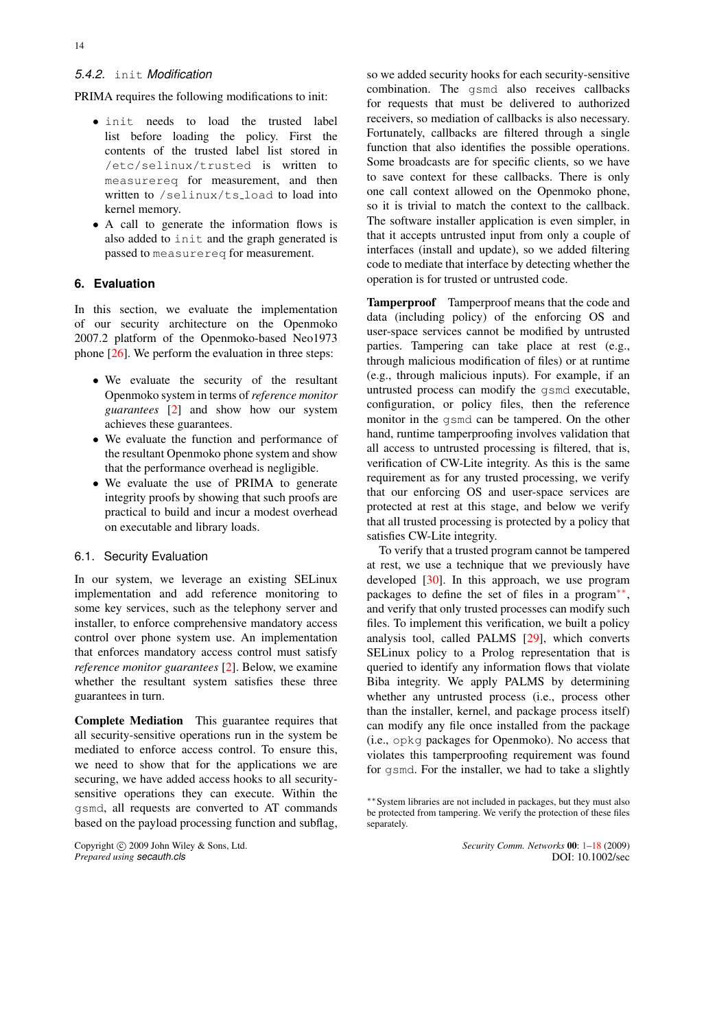# *5.4.2.* init *Modification*

PRIMA requires the following modifications to init:

- *•* init needs to load the trusted label list before loading the policy. First the contents of the trusted label list stored in /etc/selinux/trusted is written to measurereq for measurement, and then written to /selinux/ts load to load into kernel memory.
- *•* A call to generate the information flows is also added to init and the graph generated is passed to measurereq for measurement.

#### <span id="page-13-0"></span>**6. Evaluation**

In this section, we evaluate the implementation of our security architecture on the Openmoko 2007.2 platform of the Openmoko-based Neo1973 phone [\[26\]](#page-17-37). We perform the evaluation in three steps:

- *•* We evaluate the security of the resultant Openmoko system in terms of *reference monitor guarantees* [\[2\]](#page-17-15) and show how our system achieves these guarantees.
- We evaluate the function and performance of the resultant Openmoko phone system and show that the performance overhead is negligible.
- We evaluate the use of PRIMA to generate integrity proofs by showing that such proofs are practical to build and incur a modest overhead on executable and library loads.

## 6.1. Security Evaluation

In our system, we leverage an existing SELinux implementation and add reference monitoring to some key services, such as the telephony server and installer, to enforce comprehensive mandatory access control over phone system use. An implementation that enforces mandatory access control must satisfy *reference monitor guarantees* [\[2\]](#page-17-15). Below, we examine whether the resultant system satisfies these three guarantees in turn.

Complete Mediation This guarantee requires that all security-sensitive operations run in the system be mediated to enforce access control. To ensure this, we need to show that for the applications we are securing, we have added access hooks to all securitysensitive operations they can execute. Within the gsmd, all requests are converted to AT commands based on the payload processing function and subflag,

so we added security hooks for each security-sensitive combination. The gsmd also receives callbacks for requests that must be delivered to authorized receivers, so mediation of callbacks is also necessary. Fortunately, callbacks are filtered through a single function that also identifies the possible operations. Some broadcasts are for specific clients, so we have to save context for these callbacks. There is only one call context allowed on the Openmoko phone, so it is trivial to match the context to the callback. The software installer application is even simpler, in that it accepts untrusted input from only a couple of interfaces (install and update), so we added filtering code to mediate that interface by detecting whether the operation is for trusted or untrusted code.

Tamperproof Tamperproof means that the code and data (including policy) of the enforcing OS and user-space services cannot be modified by untrusted parties. Tampering can take place at rest (e.g., through malicious modification of files) or at runtime (e.g., through malicious inputs). For example, if an untrusted process can modify the gsmd executable, configuration, or policy files, then the reference monitor in the gsmd can be tampered. On the other hand, runtime tamperproofing involves validation that all access to untrusted processing is filtered, that is, verification of CW-Lite integrity. As this is the same requirement as for any trusted processing, we verify that our enforcing OS and user-space services are protected at rest at this stage, and below we verify that all trusted processing is protected by a policy that satisfies CW-Lite integrity.

To verify that a trusted program cannot be tampered at rest, we use a technique that we previously have developed [\[30\]](#page-17-40). In this approach, we use program packages to define the set of files in a program[∗∗](#page-13-1), and verify that only trusted processes can modify such files. To implement this verification, we built a policy analysis tool, called PALMS [\[29\]](#page-17-41), which converts SELinux policy to a Prolog representation that is queried to identify any information flows that violate Biba integrity. We apply PALMS by determining whether any untrusted process (i.e., process other than the installer, kernel, and package process itself) can modify any file once installed from the package (i.e., opkg packages for Openmoko). No access that violates this tamperproofing requirement was found for gsmd. For the installer, we had to take a slightly

Copyright  $\odot$  2009 John Wiley & Sons, Ltd. *Prepared using secauth.cls*

<span id="page-13-1"></span><sup>∗∗</sup>System libraries are not included in packages, but they must also be protected from tampering. We verify the protection of these files separately.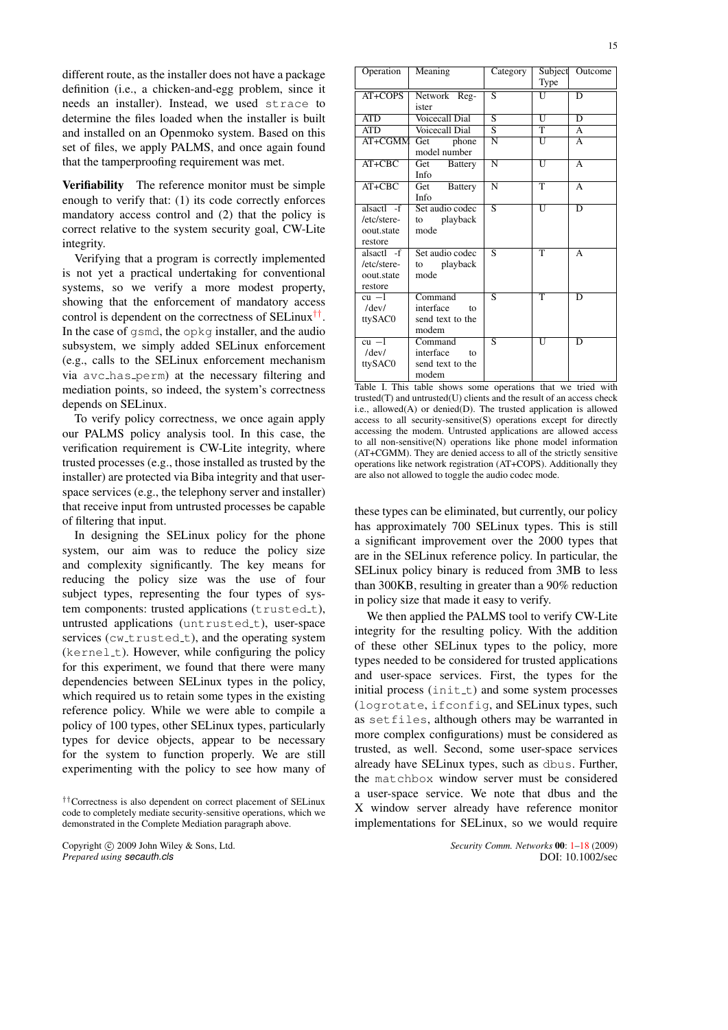different route, as the installer does not have a package definition (i.e., a chicken-and-egg problem, since it needs an installer). Instead, we used strace to determine the files loaded when the installer is built and installed on an Openmoko system. Based on this set of files, we apply PALMS, and once again found that the tamperproofing requirement was met.

Verifiability The reference monitor must be simple enough to verify that: (1) its code correctly enforces mandatory access control and (2) that the policy is correct relative to the system security goal, CW-Lite integrity.

Verifying that a program is correctly implemented is not yet a practical undertaking for conventional systems, so we verify a more modest property, showing that the enforcement of mandatory access control is dependent on the correctness of SELinux*[††](#page-14-0)*. In the case of gsmd, the opkg installer, and the audio subsystem, we simply added SELinux enforcement (e.g., calls to the SELinux enforcement mechanism via avc has perm) at the necessary filtering and mediation points, so indeed, the system's correctness depends on SELinux.

To verify policy correctness, we once again apply our PALMS policy analysis tool. In this case, the verification requirement is CW-Lite integrity, where trusted processes (e.g., those installed as trusted by the installer) are protected via Biba integrity and that userspace services (e.g., the telephony server and installer) that receive input from untrusted processes be capable of filtering that input.

In designing the SELinux policy for the phone system, our aim was to reduce the policy size and complexity significantly. The key means for reducing the policy size was the use of four subject types, representing the four types of system components: trusted applications (trusted\_t), untrusted applications (untrusted t), user-space services ( $cw\_trusted\_t$ ), and the operating system  $(kernel_t)$ . However, while configuring the policy for this experiment, we found that there were many dependencies between SELinux types in the policy, which required us to retain some types in the existing reference policy. While we were able to compile a policy of 100 types, other SELinux types, particularly types for device objects, appear to be necessary for the system to function properly. We are still experimenting with the policy to see how many of

<span id="page-14-1"></span>

| Operation                                              | Meaning                                                           | Category              | Subject<br>Type         | Outcome                 |
|--------------------------------------------------------|-------------------------------------------------------------------|-----------------------|-------------------------|-------------------------|
| AT+COPS                                                | Network Reg-<br>ister                                             | S                     | U                       | D                       |
| <b>ATD</b>                                             | <b>Voicecall Dial</b>                                             | S                     | U                       | D                       |
| <b>ATD</b>                                             | Voicecall Dial                                                    | $\overline{S}$        | $\overline{T}$          | A                       |
| AT+CGMM                                                | Get<br>phone<br>model number                                      | N                     | U                       | A                       |
| $AT+CBC$                                               | Get<br><b>Battery</b><br>Info                                     | N                     | U                       | A                       |
| $AT+CBC$                                               | Get<br><b>Battery</b><br>Info                                     | $\overline{\text{N}}$ | т                       | A                       |
| alsactl $-f$<br>/etc/stere-<br>oout.state<br>restore   | Set audio codec<br>playback<br>to<br>mode                         | $\overline{s}$        | $\overline{\mathrm{U}}$ | $\overline{\mathsf{D}}$ |
| alsactl -f<br>/etc/stere-<br>oout.state<br>restore     | Set audio codec<br>playback<br>to<br>mode                         | $\overline{S}$        | т                       | A                       |
| $cu -1$<br>$/$ dev $/$<br>ttySAC0                      | Command<br>interface<br>$f_{\Omega}$<br>send text to the<br>modem | S                     | Ŧ                       | D                       |
| $\overline{\text{cu} -1}$<br>$/\text{dev}/$<br>ttySAC0 | Command<br>interface<br>to<br>send text to the<br>modem           | S                     | U                       | D                       |

Table I. This table shows some operations that we tried with trusted $(T)$  and untrusted $(U)$  clients and the result of an access check i.e., allowed(A) or denied(D). The trusted application is allowed access to all security-sensitive(S) operations except for directly accessing the modem. Untrusted applications are allowed access to all non-sensitive(N) operations like phone model information (AT+CGMM). They are denied access to all of the strictly sensitive operations like network registration (AT+COPS). Additionally they are also not allowed to toggle the audio codec mode.

these types can be eliminated, but currently, our policy has approximately 700 SELinux types. This is still a significant improvement over the 2000 types that are in the SELinux reference policy. In particular, the SELinux policy binary is reduced from 3MB to less than 300KB, resulting in greater than a 90% reduction in policy size that made it easy to verify.

We then applied the PALMS tool to verify CW-Lite integrity for the resulting policy. With the addition of these other SELinux types to the policy, more types needed to be considered for trusted applications and user-space services. First, the types for the initial process  $(int \pm t)$  and some system processes (logrotate, ifconfig, and SELinux types, such as setfiles, although others may be warranted in more complex configurations) must be considered as trusted, as well. Second, some user-space services already have SELinux types, such as dbus. Further, the matchbox window server must be considered a user-space service. We note that dbus and the X window server already have reference monitor implementations for SELinux, so we would require

<span id="page-14-0"></span>*<sup>††</sup>*Correctness is also dependent on correct placement of SELinux code to completely mediate security-sensitive operations, which we demonstrated in the Complete Mediation paragraph above.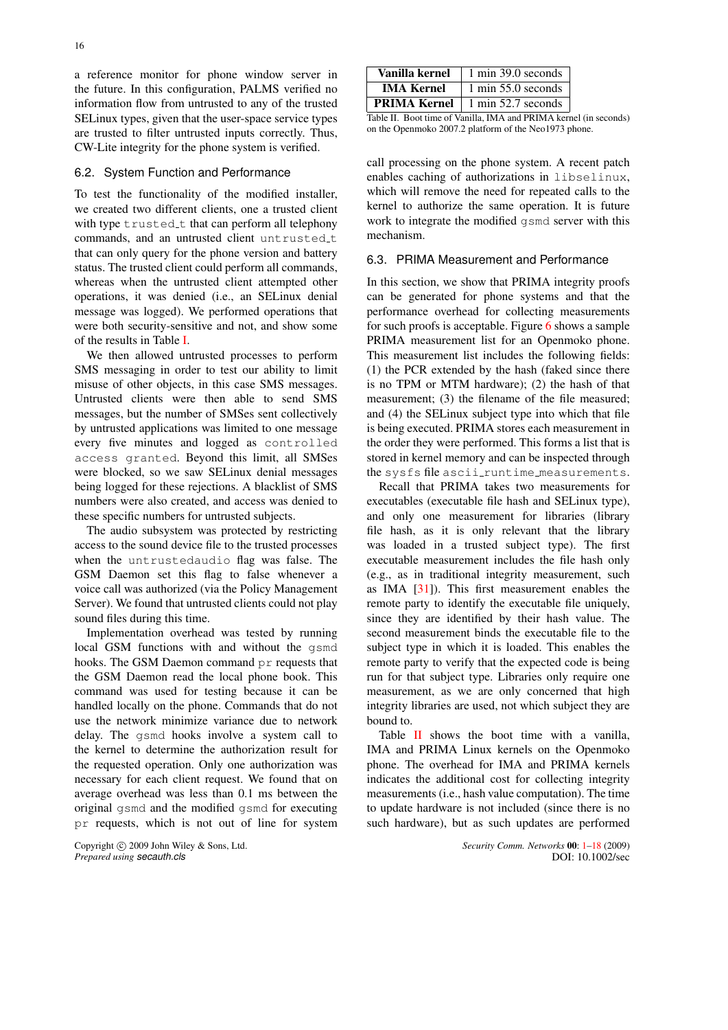a reference monitor for phone window server in the future. In this configuration, PALMS verified no information flow from untrusted to any of the trusted SELinux types, given that the user-space service types are trusted to filter untrusted inputs correctly. Thus, CW-Lite integrity for the phone system is verified.

#### 6.2. System Function and Performance

To test the functionality of the modified installer, we created two different clients, one a trusted client with type trusted t that can perform all telephony commands, and an untrusted client untrusted\_t that can only query for the phone version and battery status. The trusted client could perform all commands, whereas when the untrusted client attempted other operations, it was denied (i.e., an SELinux denial message was logged). We performed operations that were both security-sensitive and not, and show some of the results in Table [I.](#page-14-1)

We then allowed untrusted processes to perform SMS messaging in order to test our ability to limit misuse of other objects, in this case SMS messages. Untrusted clients were then able to send SMS messages, but the number of SMSes sent collectively by untrusted applications was limited to one message every five minutes and logged as controlled access granted. Beyond this limit, all SMSes were blocked, so we saw SELinux denial messages being logged for these rejections. A blacklist of SMS numbers were also created, and access was denied to these specific numbers for untrusted subjects.

The audio subsystem was protected by restricting access to the sound device file to the trusted processes when the untrustedaudio flag was false. The GSM Daemon set this flag to false whenever a voice call was authorized (via the Policy Management Server). We found that untrusted clients could not play sound files during this time.

Implementation overhead was tested by running local GSM functions with and without the gsmd hooks. The GSM Daemon command pr requests that the GSM Daemon read the local phone book. This command was used for testing because it can be handled locally on the phone. Commands that do not use the network minimize variance due to network delay. The gsmd hooks involve a system call to the kernel to determine the authorization result for the requested operation. Only one authorization was necessary for each client request. We found that on average overhead was less than 0.1 ms between the original gsmd and the modified gsmd for executing pr requests, which is not out of line for system

<span id="page-15-0"></span>

| Vanilla kernel      | 1 min 39.0 seconds           |
|---------------------|------------------------------|
| <b>IMA Kernel</b>   | $1 \text{ min} 55.0$ seconds |
| <b>PRIMA Kernel</b> | 1 min 52.7 seconds           |

Table II. Boot time of Vanilla, IMA and PRIMA kernel (in seconds) on the Openmoko 2007.2 platform of the Neo1973 phone.

call processing on the phone system. A recent patch enables caching of authorizations in libselinux, which will remove the need for repeated calls to the kernel to authorize the same operation. It is future work to integrate the modified gsmd server with this mechanism.

## 6.3. PRIMA Measurement and Performance

In this section, we show that PRIMA integrity proofs can be generated for phone systems and that the performance overhead for collecting measurements for such proofs is acceptable. Figure [6](#page-16-1) shows a sample PRIMA measurement list for an Openmoko phone. This measurement list includes the following fields: (1) the PCR extended by the hash (faked since there is no TPM or MTM hardware); (2) the hash of that measurement; (3) the filename of the file measured; and (4) the SELinux subject type into which that file is being executed. PRIMA stores each measurement in the order they were performed. This forms a list that is stored in kernel memory and can be inspected through the sysfs file ascii\_runtime\_measurements.

Recall that PRIMA takes two measurements for executables (executable file hash and SELinux type), and only one measurement for libraries (library file hash, as it is only relevant that the library was loaded in a trusted subject type). The first executable measurement includes the file hash only (e.g., as in traditional integrity measurement, such as IMA [\[31\]](#page-17-21)). This first measurement enables the remote party to identify the executable file uniquely, since they are identified by their hash value. The second measurement binds the executable file to the subject type in which it is loaded. This enables the remote party to verify that the expected code is being run for that subject type. Libraries only require one measurement, as we are only concerned that high integrity libraries are used, not which subject they are bound to.

Table [II](#page-15-0) shows the boot time with a vanilla, IMA and PRIMA Linux kernels on the Openmoko phone. The overhead for IMA and PRIMA kernels indicates the additional cost for collecting integrity measurements (i.e., hash value computation). The time to update hardware is not included (since there is no such hardware), but as such updates are performed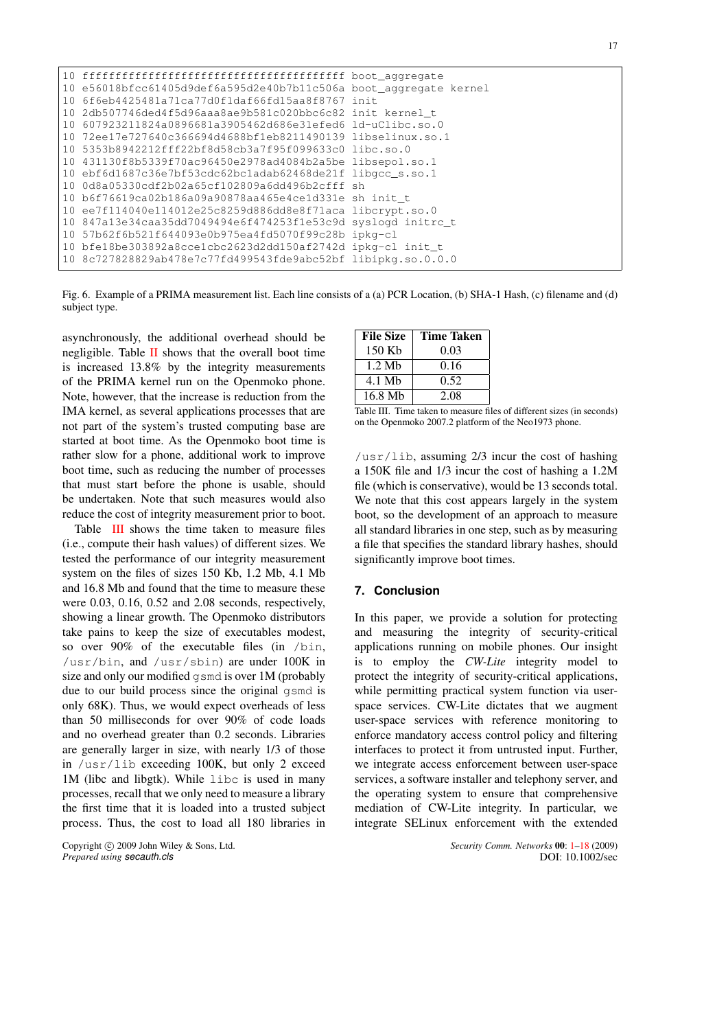```
10 ffffffffffffffffffffffffffffffffffffffff boot_aggregate
10 e56018bfcc61405d9def6a595d2e40b7b11c506a boot_aggregate kernel
10 6f6eb4425481a71ca77d0f1daf66fd15aa8f8767 init
10 2db507746ded4f5d96aaa8ae9b581c020bbc6c82 init kernel_t
10 607923211824a0896681a3905462d686e31efed6 ld-uClibc.so.0
10 72ee17e727640c366694d4688bf1eb8211490139 libselinux.so.1
10 5353b8942212fff22bf8d58cb3a7f95f099633c0 libc.so.0
10 431130f8b5339f70ac96450e2978ad4084b2a5be libsepol.so.1
10 ebf6d1687c36e7bf53cdc62bc1adab62468de21f libgcc_s.so.1
10 0d8a05330cdf2b02a65cf102809a6dd496b2cfff sh
10 b6f76619ca02b186a09a90878aa465e4ce1d331e sh init_t
10 ee7f114040e114012e25c8259d886dd8e8f71aca libcrypt.so.0
10 847a13e34caa35dd7049494e6f474253f1e53c9d syslogd initrc_t
10 57b62f6b521f644093e0b975ea4fd5070f99c28b ipkg-cl
10 bfe18be303892a8cce1cbc2623d2dd150af2742d ipkg-cl init_t
10 8c727828829ab478e7c77fd499543fde9abc52bf libipkg.so.0.0.0
```
Fig. 6. Example of a PRIMA measurement list. Each line consists of a (a) PCR Location, (b) SHA-1 Hash, (c) filename and (d) subject type.

asynchronously, the additional overhead should be negligible. Table  $II$  shows that the overall boot time is increased 13.8% by the integrity measurements of the PRIMA kernel run on the Openmoko phone. Note, however, that the increase is reduction from the IMA kernel, as several applications processes that are not part of the system's trusted computing base are started at boot time. As the Openmoko boot time is rather slow for a phone, additional work to improve boot time, such as reducing the number of processes that must start before the phone is usable, should be undertaken. Note that such measures would also reduce the cost of integrity measurement prior to boot.

Table [III](#page-16-2) shows the time taken to measure files (i.e., compute their hash values) of different sizes. We tested the performance of our integrity measurement system on the files of sizes 150 Kb, 1.2 Mb, 4.1 Mb and 16.8 Mb and found that the time to measure these were 0.03, 0.16, 0.52 and 2.08 seconds, respectively, showing a linear growth. The Openmoko distributors take pains to keep the size of executables modest, so over 90% of the executable files (in /bin, /usr/bin, and /usr/sbin) are under 100K in size and only our modified gsmd is over 1M (probably due to our build process since the original gsmd is only 68K). Thus, we would expect overheads of less than 50 milliseconds for over 90% of code loads and no overhead greater than 0.2 seconds. Libraries are generally larger in size, with nearly 1/3 of those in /usr/lib exceeding 100K, but only 2 exceed 1M (libc and libgtk). While libc is used in many processes, recall that we only need to measure a library the first time that it is loaded into a trusted subject process. Thus, the cost to load all 180 libraries in

<span id="page-16-2"></span>

| <b>File Size</b> | Time Taken |
|------------------|------------|
| 150 Kb           | 0.03       |
| $1.2 \text{ Mb}$ | 0.16       |
| 4.1 Mh           | 0.52       |
| 16.8 Mh          | 2.08       |

Table III. Time taken to measure files of different sizes (in seconds) on the Openmoko 2007.2 platform of the Neo1973 phone.

/usr/lib, assuming 2/3 incur the cost of hashing a 150K file and 1/3 incur the cost of hashing a 1.2M file (which is conservative), would be 13 seconds total. We note that this cost appears largely in the system boot, so the development of an approach to measure all standard libraries in one step, such as by measuring a file that specifies the standard library hashes, should significantly improve boot times.

#### <span id="page-16-0"></span>**7. Conclusion**

In this paper, we provide a solution for protecting and measuring the integrity of security-critical applications running on mobile phones. Our insight is to employ the *CW-Lite* integrity model to protect the integrity of security-critical applications, while permitting practical system function via userspace services. CW-Lite dictates that we augment user-space services with reference monitoring to enforce mandatory access control policy and filtering interfaces to protect it from untrusted input. Further, we integrate access enforcement between user-space services, a software installer and telephony server, and the operating system to ensure that comprehensive mediation of CW-Lite integrity. In particular, we integrate SELinux enforcement with the extended